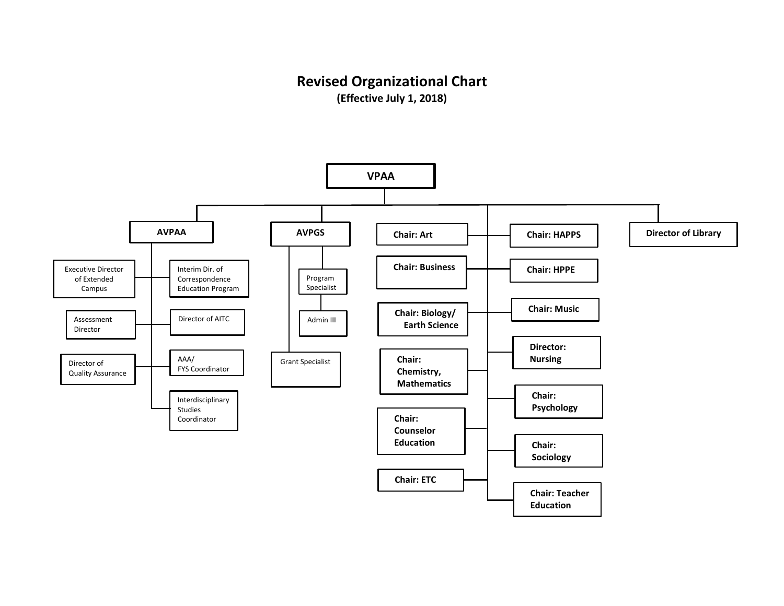## **Revised Organizational Chart**

**(Effective July 1, 2018)**

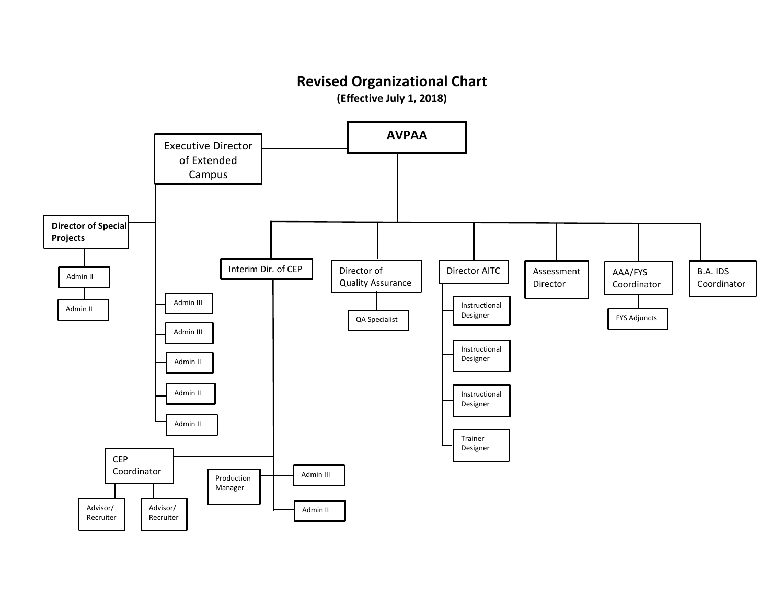## **Revised Organizational Chart**

**(Effective July 1, 2018)**